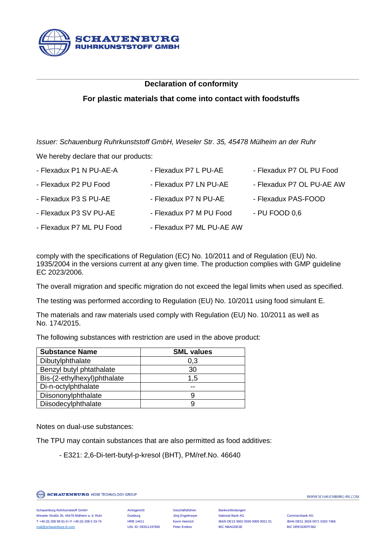

## **Declaration of conformity**

## **For plastic materials that come into contact with foodstuffs**

*Issuer: Schauenburg Ruhrkunststoff GmbH, Weseler Str. 35, 45478 Mülheim an der Ruhr*

We hereby declare that our products:

| - Flexadux P1 N PU-AE-A  | - Flexadux P7 L PU-AE     | - Flexadux P7 OL PU Food  |
|--------------------------|---------------------------|---------------------------|
| - Flexadux P2 PU Food    | - Flexadux P7 LN PU-AE    | - Flexadux P7 OL PU-AE AW |
| - Flexadux P3 S PU-AE    | - Flexadux P7 N PU-AE     | - Flexadux PAS-FOOD       |
| - Flexadux P3 SV PU-AE   | - Flexadux P7 M PU Food   | - PU FOOD 0.6             |
| - Flexadux P7 ML PU Food | - Flexadux P7 ML PU-AE AW |                           |

comply with the specifications of Regulation (EC) No. 10/2011 and of Regulation (EU) No. 1935/2004 in the versions current at any given time. The production complies with GMP guideline EC 2023/2006.

The overall migration and specific migration do not exceed the legal limits when used as specified.

The testing was performed according to Regulation (EU) No. 10/2011 using food simulant E.

The materials and raw materials used comply with Regulation (EU) No. 10/2011 as well as No. 174/2015.

The following substances with restriction are used in the above product:

| <b>Substance Name</b>       | <b>SML values</b> |
|-----------------------------|-------------------|
| Dibutylphthalate            | 0,3               |
| Benzyl butyl phtathalate    | 30                |
| Bis-(2-ethylhexyl)phthalate | 1,5               |
| Di-n-octylphthalate         |                   |
| Diisononylphthalate         | 9                 |
| Diisodecylphthalate         | 9                 |

Notes on dual-use substances:

The TPU may contain substances that are also permitted as food additives:

- E321: 2,6-Di-tert-butyl-p-kresol (BHT), PM/ref.No. 46640

**SCHAUENBURG HOSE TECHNOLOGY GROUP** 

WWW.SCHAUENBURG-RK.COM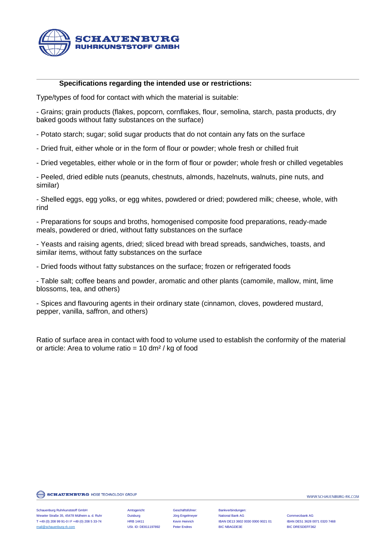

## **Specifications regarding the intended use or restrictions:**

Type/types of food for contact with which the material is suitable:

- Grains; grain products (flakes, popcorn, cornflakes, flour, semolina, starch, pasta products, dry baked goods without fatty substances on the surface)

- Potato starch; sugar; solid sugar products that do not contain any fats on the surface

- Dried fruit, either whole or in the form of flour or powder; whole fresh or chilled fruit

- Dried vegetables, either whole or in the form of flour or powder; whole fresh or chilled vegetables

- Peeled, dried edible nuts (peanuts, chestnuts, almonds, hazelnuts, walnuts, pine nuts, and similar)

- Shelled eggs, egg yolks, or egg whites, powdered or dried; powdered milk; cheese, whole, with rind

- Preparations for soups and broths, homogenised composite food preparations, ready-made meals, powdered or dried, without fatty substances on the surface

- Yeasts and raising agents, dried; sliced bread with bread spreads, sandwiches, toasts, and similar items, without fatty substances on the surface

- Dried foods without fatty substances on the surface; frozen or refrigerated foods

- Table salt; coffee beans and powder, aromatic and other plants (camomile, mallow, mint, lime blossoms, tea, and others)

- Spices and flavouring agents in their ordinary state (cinnamon, cloves, powdered mustard, pepper, vanilla, saffron, and others)

Ratio of surface area in contact with food to volume used to establish the conformity of the material or article: Area to volume ratio =  $10 \text{ dm}^2$  / kg of food

**SCHAUENBURG HOSE TECHNOLOGY GROUP** 

Schauenburg Ruhrkunststoff GmbH Amtsgericht Geschäftsführer: Bankverbindungen: Weseler Straße 35, 45478 Mülheim a. d. Ruhr Duisburg Jörg Engelmeyer National Bank AG Commerzbank AG T +49 (0) 208 99 91-0 I F +49 (0) 208 5 33-74 HRB 14411 Kevin Heinrich IBAN DE13 3602 0030 0000 9021 01 IBAN DE51 3628 0071 0320 7468 [mail@schauenburg-rk.com](mailto:mail@schauenburg-rk.com) **DST. ID: DE811197892** Peter Endres BIC NBAGDE3E BIC NEAGESDEFF362

WWW.SCHAUENBURG-RK.COM